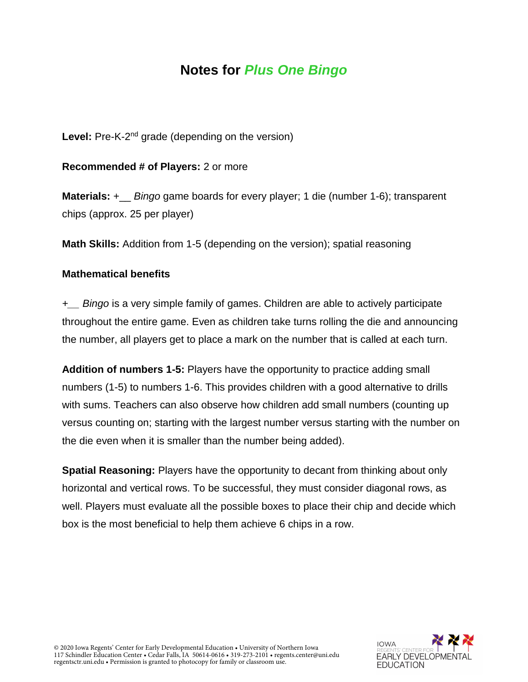#### **Notes for** *Plus One Bingo*

Level: Pre-K-2<sup>nd</sup> grade (depending on the version)

**Recommended # of Players:** 2 or more

**Materials:** +\_\_ *Bingo* game boards for every player; 1 die (number 1-6); transparent chips (approx. 25 per player)

**Math Skills:** Addition from 1-5 (depending on the version); spatial reasoning

#### **Mathematical benefits**

*+\_\_ Bingo* is a very simple family of games. Children are able to actively participate throughout the entire game. Even as children take turns rolling the die and announcing the number, all players get to place a mark on the number that is called at each turn.

**Addition of numbers 1-5:** Players have the opportunity to practice adding small numbers (1-5) to numbers 1-6. This provides children with a good alternative to drills with sums. Teachers can also observe how children add small numbers (counting up versus counting on; starting with the largest number versus starting with the number on the die even when it is smaller than the number being added).

**Spatial Reasoning:** Players have the opportunity to decant from thinking about only horizontal and vertical rows. To be successful, they must consider diagonal rows, as well. Players must evaluate all the possible boxes to place their chip and decide which box is the most beneficial to help them achieve 6 chips in a row.

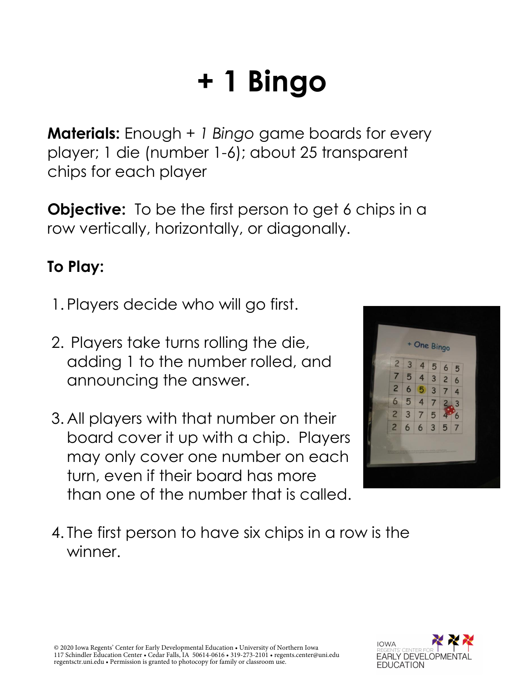#### **+ 1 Bingo**

**Materials:** Enough *+ 1 Bingo* game boards for every player; 1 die (number 1-6); about 25 transparent chips for each player

**Objective:** To be the first person to get 6 chips in a row vertically, horizontally, or diagonally.

#### **To Play:**

- 1. Players decide who will go first.
- 2. Players take turns rolling the die, adding 1 to the number rolled, and announcing the answer.
- 3. All players with that number on their board cover it up with a chip. Players may only cover one number on each turn, even if their board has more than one of the number that is called.



4. The first person to have six chips in a row is the winner.

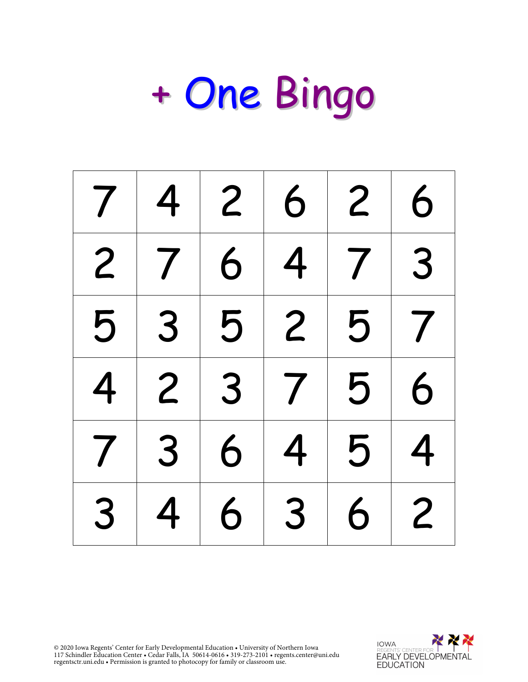| 7 <sup>1</sup> |                |   | 4 2 6                                                      | $2 \mid$   | $\overline{6}$ |
|----------------|----------------|---|------------------------------------------------------------|------------|----------------|
|                | 2 7            | 6 | 4                                                          | $7 \mid 3$ |                |
|                | 5 3 5 2 5      |   |                                                            |            | $\vert 7$      |
| $\overline{4}$ | $\overline{2}$ |   | $\begin{array}{ c c c c c }\n3 & 7 \\ \hline\n\end{array}$ | 5          | 6              |
| 7 <sup>1</sup> | 3 <sup>1</sup> | 6 | 4                                                          | 5          | $\overline{4}$ |
| 3              | 4              | 6 | $3 \mid$                                                   | 6          | $\overline{c}$ |

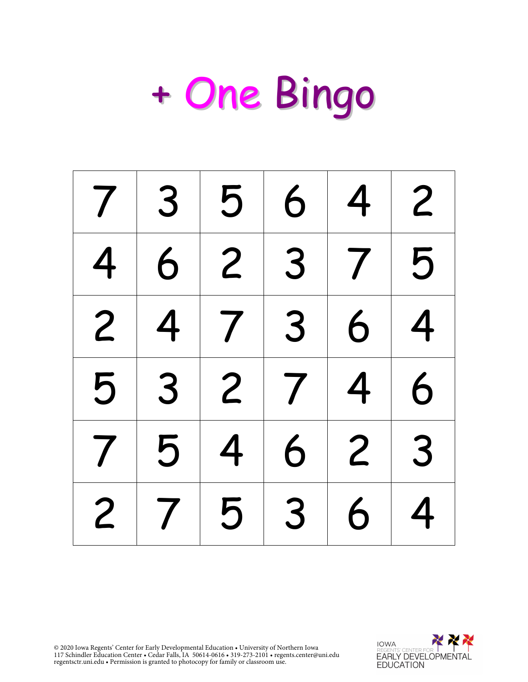|                | $7 \mid 3$     | 5 <sup>2</sup>         | 6              | 4               | $\overline{c}$ |
|----------------|----------------|------------------------|----------------|-----------------|----------------|
| $\overline{4}$ |                | $6 \mid 2$             |                | 7 5             |                |
| $\overline{2}$ | $\overline{4}$ | $\mid 7 \mid 3 \mid$   |                | $\vert 6 \vert$ | $\overline{4}$ |
| 5              |                | $3 \mid 2 \mid 7 \mid$ |                | 4 <sup>1</sup>  | 6              |
| 7 <sup>1</sup> | 5              | $\overline{4}$         | 6 <sup>1</sup> | $2 \mid 3$      |                |
| $\overline{2}$ | 7 <sup>1</sup> | 5                      | 3 <sup>1</sup> | 6               | 4              |

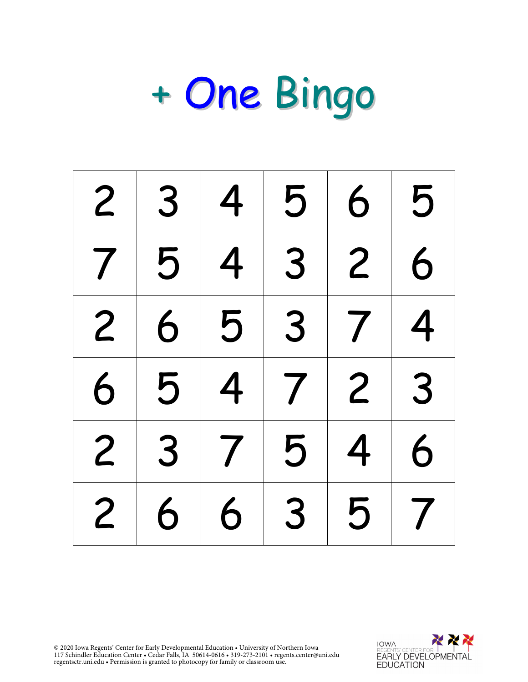| $\overline{2}$ | 3 | $\overline{4}$ | 5              | 6              | 5                   |
|----------------|---|----------------|----------------|----------------|---------------------|
| $\overline{7}$ | 5 | $\overline{4}$ | 3              | $\overline{2}$ | 6                   |
| 2 <sup>1</sup> | 6 |                | 3 <sup>1</sup> | 7 <sup>1</sup> | $\overline{4}$      |
| 6              | 5 | $\overline{4}$ |                | $7 2 3$        |                     |
| $\overline{2}$ | 3 | $\overline{7}$ | 5              | 4              | 6                   |
| $\overline{2}$ | 6 | 6              | 3              | 5              | $\overline{\prime}$ |